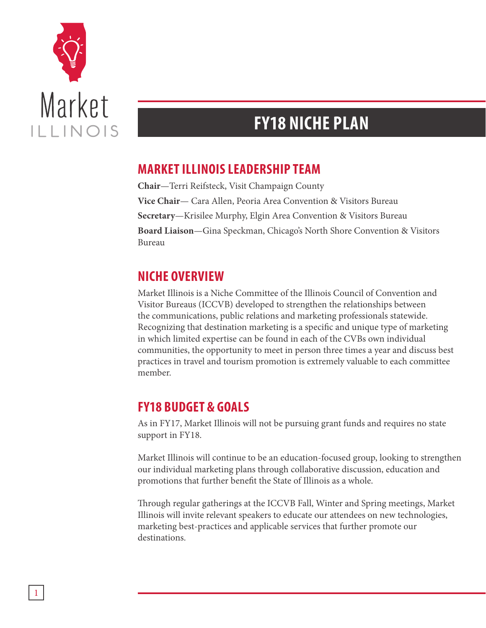

## **FY18 NICHE PLAN**

## **MARKET ILLINOIS LEADERSHIP TEAM**

**Chair**—Terri Reifsteck, Visit Champaign County **Vice Chair**— Cara Allen, Peoria Area Convention & Visitors Bureau **Secretary**—Krisilee Murphy, Elgin Area Convention & Visitors Bureau **Board Liaison**—Gina Speckman, Chicago's North Shore Convention & Visitors Bureau

## **NICHE OVERVIEW**

Market Illinois is a Niche Committee of the Illinois Council of Convention and Visitor Bureaus (ICCVB) developed to strengthen the relationships between the communications, public relations and marketing professionals statewide. Recognizing that destination marketing is a specific and unique type of marketing in which limited expertise can be found in each of the CVBs own individual communities, the opportunity to meet in person three times a year and discuss best practices in travel and tourism promotion is extremely valuable to each committee member.

## **FY18 BUDGET & GOALS**

As in FY17, Market Illinois will not be pursuing grant funds and requires no state support in FY18.

Market Illinois will continue to be an education-focused group, looking to strengthen our individual marketing plans through collaborative discussion, education and promotions that further benefit the State of Illinois as a whole.

Through regular gatherings at the ICCVB Fall, Winter and Spring meetings, Market Illinois will invite relevant speakers to educate our attendees on new technologies, marketing best-practices and applicable services that further promote our destinations.